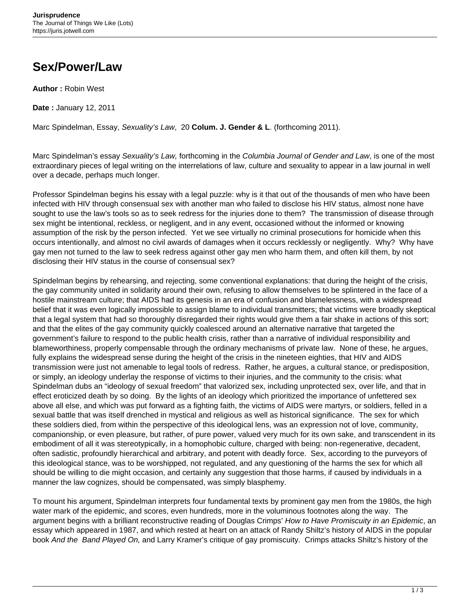## **Sex/Power/Law**

**Author :** Robin West

**Date :** January 12, 2011

Marc Spindelman, Essay, Sexuality's Law, 20 **Colum. J. Gender & L**. (forthcoming 2011).

Marc Spindelman's essay Sexuality's Law, forthcoming in the Columbia Journal of Gender and Law, is one of the most extraordinary pieces of legal writing on the interrelations of law, culture and sexuality to appear in a law journal in well over a decade, perhaps much longer.

Professor Spindelman begins his essay with a legal puzzle: why is it that out of the thousands of men who have been infected with HIV through consensual sex with another man who failed to disclose his HIV status, almost none have sought to use the law's tools so as to seek redress for the injuries done to them? The transmission of disease through sex might be intentional, reckless, or negligent, and in any event, occasioned without the informed or knowing assumption of the risk by the person infected. Yet we see virtually no criminal prosecutions for homicide when this occurs intentionally, and almost no civil awards of damages when it occurs recklessly or negligently. Why? Why have gay men not turned to the law to seek redress against other gay men who harm them, and often kill them, by not disclosing their HIV status in the course of consensual sex?

Spindelman begins by rehearsing, and rejecting, some conventional explanations: that during the height of the crisis, the gay community united in solidarity around their own, refusing to allow themselves to be splintered in the face of a hostile mainstream culture; that AIDS had its genesis in an era of confusion and blamelessness, with a widespread belief that it was even logically impossible to assign blame to individual transmitters; that victims were broadly skeptical that a legal system that had so thoroughly disregarded their rights would give them a fair shake in actions of this sort; and that the elites of the gay community quickly coalesced around an alternative narrative that targeted the government's failure to respond to the public health crisis, rather than a narrative of individual responsibility and blameworthiness, properly compensable through the ordinary mechanisms of private law. None of these, he argues, fully explains the widespread sense during the height of the crisis in the nineteen eighties, that HIV and AIDS transmission were just not amenable to legal tools of redress. Rather, he argues, a cultural stance, or predisposition, or simply, an ideology underlay the response of victims to their injuries, and the community to the crisis: what Spindelman dubs an "ideology of sexual freedom" that valorized sex, including unprotected sex, over life, and that in effect eroticized death by so doing. By the lights of an ideology which prioritized the importance of unfettered sex above all else, and which was put forward as a fighting faith, the victims of AIDS were martyrs, or soldiers, felled in a sexual battle that was itself drenched in mystical and religious as well as historical significance. The sex for which these soldiers died, from within the perspective of this ideological lens, was an expression not of love, community, companionship, or even pleasure, but rather, of pure power, valued very much for its own sake, and transcendent in its embodiment of all it was stereotypically, in a homophobic culture, charged with being: non-regenerative, decadent, often sadistic, profoundly hierarchical and arbitrary, and potent with deadly force. Sex, according to the purveyors of this ideological stance, was to be worshipped, not regulated, and any questioning of the harms the sex for which all should be willing to die might occasion, and certainly any suggestion that those harms, if caused by individuals in a manner the law cognizes, should be compensated, was simply blasphemy.

To mount his argument, Spindelman interprets four fundamental texts by prominent gay men from the 1980s, the high water mark of the epidemic, and scores, even hundreds, more in the voluminous footnotes along the way. The argument begins with a brilliant reconstructive reading of Douglas Crimps' How to Have Promiscuity in an Epidemic, an essay which appeared in 1987, and which rested at heart on an attack of Randy Shiltz's history of AIDS in the popular book And the Band Played On, and Larry Kramer's critique of gay promiscuity. Crimps attacks Shiltz's history of the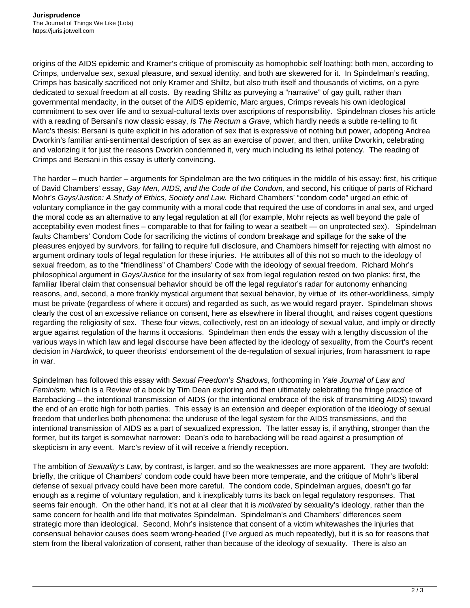origins of the AIDS epidemic and Kramer's critique of promiscuity as homophobic self loathing; both men, according to Crimps, undervalue sex, sexual pleasure, and sexual identity, and both are skewered for it. In Spindelman's reading, Crimps has basically sacrificed not only Kramer and Shiltz, but also truth itself and thousands of victims, on a pyre dedicated to sexual freedom at all costs. By reading Shiltz as purveying a "narrative" of gay guilt, rather than governmental mendacity, in the outset of the AIDS epidemic, Marc argues, Crimps reveals his own ideological commitment to sex over life and to sexual-cultural texts over ascriptions of responsibility. Spindelman closes his article with a reading of Bersani's now classic essay, Is The Rectum a Grave, which hardly needs a subtle re-telling to fit Marc's thesis: Bersani is quite explicit in his adoration of sex that is expressive of nothing but power, adopting Andrea Dworkin's familiar anti-sentimental description of sex as an exercise of power, and then, unlike Dworkin, celebrating and valorizing it for just the reasons Dworkin condemned it, very much including its lethal potency. The reading of Crimps and Bersani in this essay is utterly convincing.

The harder – much harder – arguments for Spindelman are the two critiques in the middle of his essay: first, his critique of David Chambers' essay, Gay Men, AIDS, and the Code of the Condom, and second, his critique of parts of Richard Mohr's Gays/Justice: A Study of Ethics, Society and Law. Richard Chambers' "condom code" urged an ethic of voluntary compliance in the gay community with a moral code that required the use of condoms in anal sex, and urged the moral code as an alternative to any legal regulation at all (for example, Mohr rejects as well beyond the pale of acceptability even modest fines – comparable to that for failing to wear a seatbelt — on unprotected sex). Spindelman faults Chambers' Condom Code for sacrificing the victims of condom breakage and spillage for the sake of the pleasures enjoyed by survivors, for failing to require full disclosure, and Chambers himself for rejecting with almost no argument ordinary tools of legal regulation for these injuries. He attributes all of this not so much to the ideology of sexual freedom, as to the "friendliness" of Chambers' Code with the ideology of sexual freedom. Richard Mohr's philosophical argument in Gays/Justice for the insularity of sex from legal regulation rested on two planks: first, the familiar liberal claim that consensual behavior should be off the legal regulator's radar for autonomy enhancing reasons, and, second, a more frankly mystical argument that sexual behavior, by virtue of its other-worldliness, simply must be private (regardless of where it occurs) and regarded as such, as we would regard prayer. Spindelman shows clearly the cost of an excessive reliance on consent, here as elsewhere in liberal thought, and raises cogent questions regarding the religiosity of sex. These four views, collectively, rest on an ideology of sexual value, and imply or directly argue against regulation of the harms it occasions. Spindelman then ends the essay with a lengthy discussion of the various ways in which law and legal discourse have been affected by the ideology of sexuality, from the Court's recent decision in Hardwick, to queer theorists' endorsement of the de-regulation of sexual injuries, from harassment to rape in war.

Spindelman has followed this essay with Sexual Freedom's Shadows, forthcoming in Yale Journal of Law and Feminism, which is a Review of a book by Tim Dean exploring and then ultimately celebrating the fringe practice of Barebacking – the intentional transmission of AIDS (or the intentional embrace of the risk of transmitting AIDS) toward the end of an erotic high for both parties. This essay is an extension and deeper exploration of the ideology of sexual freedom that underlies both phenomena: the underuse of the legal system for the AIDS transmissions, and the intentional transmission of AIDS as a part of sexualized expression. The latter essay is, if anything, stronger than the former, but its target is somewhat narrower: Dean's ode to barebacking will be read against a presumption of skepticism in any event. Marc's review of it will receive a friendly reception.

The ambition of Sexuality's Law, by contrast, is larger, and so the weaknesses are more apparent. They are twofold: briefly, the critique of Chambers' condom code could have been more temperate, and the critique of Mohr's liberal defense of sexual privacy could have been more careful. The condom code, Spindelman argues, doesn't go far enough as a regime of voluntary regulation, and it inexplicably turns its back on legal regulatory responses. That seems fair enough. On the other hand, it's not at all clear that it is *motivated* by sexuality's ideology, rather than the same concern for health and life that motivates Spindelman. Spindelman's and Chambers' differences seem strategic more than ideological. Second, Mohr's insistence that consent of a victim whitewashes the injuries that consensual behavior causes does seem wrong-headed (I've argued as much repeatedly), but it is so for reasons that stem from the liberal valorization of consent, rather than because of the ideology of sexuality. There is also an